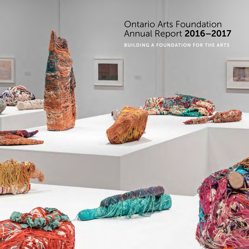# Ontario Arts Foundation Annual Report 2016–2017

BUILDING A FOUNDATION FOR THE ARTS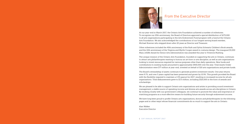At our year-end in March 2017, the Ontario Arts Foundation achieved a number of milestones. To recognize our 25th anniversary, the Board of Directors approved a special distribution of \$275,000 to all arts organizations participating in the Arts Endowment Fund program with a fund at the Ontario Arts Foundation. We also acknowledged the contributions of our longest serving board member, Michael Koerner who stepped down after 20 years as Director and Treasurer.

Other milestones included the 40th anniversary of the Ruth and Sylvia Schwartz Children's Book awards, and the 10th anniversary of the Virginia and Myrtle Cooper award in costume design. The inaugural \$5,000 Mary Jolliffe Award for Senior Arts Administrators was awarded this year to Vivienne Muhling.

The unique mission of the Ontario Arts Foundation, founded on supporting the arts in Ontario, continues to attract arts philanthropists wanting to honour an art form or arts discipline, as well as arts organizations looking to invest resources required for various purposes other than daily operations. New funds and contributions to existing funds amounted to approximately \$900,000 over the year. Total Assets Under Administration were \$77 million at year-end, invested on behalf of 320 arts organizations and private funds.

The Board's stewardship of assets continues to generate positive investment results. One year returns were 9.7%, and over 5 years capital has been preserved and grown by 10.9%. This growth provided the Board with the flexibility required to maintain a 4.5% payout for 2017, resulting in increased income for all arts organizations. Total disbursements grew to \$3.5 million, including \$325,000 in the form of awards and scholarships.

We are pleased to be able to support Ontario arts organizations and artists in providing sound investment management, a stable source of operating income and diverse arts awards across arts disciplines in Ontario. By working closely with our government colleagues, we continue to promote the value and importance of matching programs as a most effective means for building future security through endowment income.

We have long been proud to profile Ontario arts organizations, donors and philanthropists (in the following pages and in other ways) whose financial commitments do so much to support the arts in Ontario.

Alan Walker Executive Director



### From the Executive Director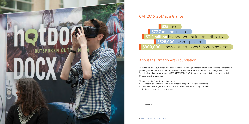# **53.2 million** in endowment income disbursed S900,000 in new contributions & matching grants

### About the Ontario Arts Foundation

The Ontario Arts Foundation was established in 1991 as a public foundation to encourage and facilitate private giving to the arts in Ontario. We are a non-governmental foundation and a registered charity (charitable registration number: 89085 6370 RR0001). We focus on investments to support the arts in Ontario over the long-term.

The work of the Ontario Arts Foundation:

- 1. To receive and manage long-term funds in support of the arts in Ontario.
- 2. To make awards, grants or scholarships for outstanding accomplishments in the arts in Ontario or elsewhere.



### OAF 2016–2017 at a Glance

**325** funds **S77.7 million** in assets **\$325,000** awards paid out

LEFT: HOT DOCS FESTIVAL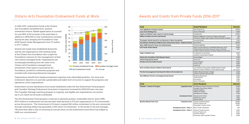## Awards and Grants from Private Funds 2016–2017

| Fund                                                                         | <b>Award Recipient</b>                                                                                                                                                         | <b>Amount</b>                             |
|------------------------------------------------------------------------------|--------------------------------------------------------------------------------------------------------------------------------------------------------------------------------|-------------------------------------------|
| Louis Applebaum Composers Award                                              | Alice Ping Yee Ho                                                                                                                                                              | 10.000                                    |
| <b>Laura Ciruls Painting Fund</b>                                            | Dorian FitzGerald                                                                                                                                                              | 5,000                                     |
| Virginia and Myrtle Cooper Award in Costume Design                           | Camellia Koo                                                                                                                                                                   | 20,000                                    |
| <b>William and Mary Corcoran Craft Awards</b>                                | Marlene Zagdanski (ceramics); Stephen Dalrymple<br>(furniture); Angela Legere (glass); Kayla Bortolotto (textiles)                                                             | 750<br>each                               |
| <b>Christopher Dedrick Award for Live Musicians in Music Soundtracks</b>     | Janal Bechthold                                                                                                                                                                | 1,200                                     |
| Paul deHueck and Norman Walford Career Achievement Award - Keyboard Artistry | David Braid                                                                                                                                                                    | 20,000                                    |
| Mary Jolliffe Award for Senior Arts Administrators                           | Vivienne Muhling                                                                                                                                                               | 5,000                                     |
| K.M. Hunter Artists Awards                                                   | Penny Couchie (dance); Zoe Whittall (literature); Terril<br>Calder (media arts); Brian Harman (music); Charlotte<br>Corbeil-Coleman (theatre); Christian Chapman (visual arts) | 8,000<br>each                             |
| Hugh D. McKellar Fund                                                        | St. Michael's Choir School<br>Lambton County Music Festival                                                                                                                    | 6,500<br>800                              |
| <b>Ontario Arts Foundation Artist Educator Award</b>                         | Jamaal Rogers                                                                                                                                                                  | 7,500                                     |
| <b>Orford String Quartet Award</b>                                           | Shane Kim                                                                                                                                                                      | 3.000                                     |
| <b>Christina and Louis Quilico Awards</b>                                    | Emily D'Angelo<br>Danika Lorèn<br>Charles Sy                                                                                                                                   | 4,000<br>4,000<br>2.000                   |
| Ruth and Sylvia Schwartz Children's Book Awards                              | Susin Nielsen (Young Adult / Middle Reader Award)<br>Marianne Dubuc (Children's Picture Book Award)                                                                            | 6,000<br>per award                        |
| Tim Sims Encouragement Fund Award for Work in the Comedic Arts               | Robbie Woods (Humber College)<br>Cameron LaPrairie (Second City)                                                                                                               |                                           |
| Gina Wilkinson Prize for an Emerging Female Director                         | Kimberly Rampersad<br>Tamara Brown<br>Kim Harvey<br>Severn Thompson                                                                                                            | 5,000<br>1,000<br>1,000<br>1,000          |
| <b>Fund</b>                                                                  | <b>Grant Recipient</b>                                                                                                                                                         | <b>Amount</b>                             |
| Elizabeth L. Gordon Art Program<br><b>Acquisition Grant</b>                  | Art Museum at the University of Toronto<br>Canadian Clay & Glass Gallery<br><b>Oakville Galleries</b><br><b>Ottawa Art Gallery</b><br><b>Woodstock Art Gallery</b>             | 6,000<br>5,335<br>7,350<br>6,825<br>2,500 |
| <b>Development Grant</b>                                                     | <b>MacLaren Art Centre</b><br><b>Norfolk Arts Centre</b><br><b>Station Gallery</b>                                                                                             | 6,000<br>7.500<br>5,000                   |
| <b>Wuchien Michael Than Fund</b><br><b>Production Grant</b>                  | <b>Cahoots Theatre Projects</b><br><b>Factory Theatre Lab</b><br>Playwrights Theatre Centre                                                                                    | 10,000<br>10,000<br>8,840                 |
| Development Grant - Phase 1                                                  | <b>Black Theatre Workshop</b>                                                                                                                                                  | 500                                       |
| Development Grant - Phase 2                                                  | <b>Cahoots Theatre Projects</b><br><b>Factory Theatre Lab</b><br><b>Concrete Theatre</b><br>Vancouver Asian Canadian Theatre                                                   | 5,000<br>4,972<br>2,000<br>5.000          |

Organizations benefit from leading investment expertise and a diversified portfolio. Our long-term investment objective is to provide a predictable and stable level of income to support the programs and operations of arts organizations.

Endowment income distribution from funds established under the Arts Endowment Fund program and Canadian Heritage Endowment Incentives Component increased by \$200,000 year over year. The Canadian Heritage matching program is ongoing, and eligible arts organizations can receive up to a \$1 match for all funds contributed.

The Arts Endowment Fund program continues to generate positive, sustainable returns. Since 1998, \$67.9 million in endowment income has been directed back to 273 arts organizations in 75 communities across the province. The Government of Ontario's original \$60 million investment in the arts community through matching dollars has generated a 113% return of investment. In the words of one arts manager, "We have been able to rely on receiving an annual return on the endowment fund which has helped us fulfill our commitments.".

In 2016-2017, endowment funds at the Ontario Arts Foundation benefitted from positive investment returns. Market appreciation accounted for over 80% of the increase in the asset base in addition to \$900,000 in new contributions received during the year, bringing the Foundation's total AUM (Assets Under Management) from 72 million to \$77.7 million.

Several new funds were established during the year by arts organizations with existing funds at the Ontario Arts Foundation who sought the Foundation's services for the management of their own reserve managed funds. Organizations are increasingly benefiting from the value of an Ontario Arts Foundation managed fund. Investment of the assets is assumed by the Foundation, pooled for investment purposes and invested with external professional managers.

### Ontario Arts Foundation Endowment Funds at Work

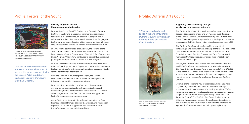### Supporting their community through scholarships and bursaries in the arts

The Dufferin Arts Council is a volunteer charitable organization dedicated to assisting artists and art students in all disciplines in the Greater Dufferin County community. The Dufferin Arts Council has been presenting awards, scholarships and bursaries to deserving Dufferin County high school graduates since 1993.

The Dufferin Arts Council has been able to grant their scholarships and bursaries with the help of the income generated from their endowment fund established at the Ontario Arts Foundation under the Arts Endowment Fund Program and, more recently, through an endowment fund established in honour of Reed Cooper.

In 1998, the Dufferin Arts Council Arts Endowment Fund was established and now has a value of approximately \$200,000. The Reed T. Cooper Bursary Fund is also valued at over \$40,000 today. Since these funds were established, they have generated endowment income in excess of \$35,000 and helped to award more than eighty successful applicants throughout Dufferin

County. "I would like to … remind you of the important role you have played in my life and in the life of many others when you encourage youth," said a recent scholarship recipient. "Today I am painting, drawing, photographing, doing research, meeting people from around the world specializing in textiles … I'm living the dream." The Dufferin Arts Council takes pride in following the careers of many of their scholarship recipients, and the Ontario Arts Foundation is honoured to be able to be a part of the Dufferin Arts Council's long-term planning.

" We inspire, educate and support the arts throughout Dufferin County," says Shelagh Roberts, Board of Directors Vice-President.

## Profile: Dufferin Arts Council



SCULPTURE BY DUFFERIN ARTS COUNCIL REED T. COOPER BURSARY RECIPIENT, DEBBIE EBANKS SCHLUMS

#### Building long-term support through patrons' private giving

Distinguished as a "Top 100 Festivals and Events in Ontario", Festival of the Sound is a premier summer classical music festival held in Parry Sound, on beautiful Georgian Bay. A volunteer Board of Directors works all year with staff to prepare for the summer concert series, which has grown from a 2-week \$60,000 Festival in 1980 to a 3-week \$700,000 Festival in 2017.

In 1999, with a contribution of one dollar, the Festival of the Sound established its first endowment fund at the Ontario Arts Foundation under the Government of Ontario's Arts Endowment Fund Program. The Festival continued to actively fundraise and participate throughout the course of the AEF Program.

In 2016, the Festival made a further contribution to its endowment and participated in the Department of Canadian Heritage's Endowment Incentives Component matching program, which saw its contribution nearly double.

With the addition of a further planned gift, the Festival established a third Ontario Arts Foundation managed fund this year to support its ongoing operations.

From an initial one-dollar contribution, to the addition of government matching funds, further contributions and investment growth, its endowment funds now total \$250,000, and have generated over \$90,000 in income to support the Festival's operations and programming.

As the Festival continues to flourish and generate significant financial support from its patrons, the Ontario Arts Foundation is pleased to be able to support the Festival of the Sound through stalwart investment stewardship.

" We realize now how important it is to find additional sources of income, like our endowment with the Ontario Arts Foundation," said Alison Scarrow-McGarvey, Executive Director.

### Profile: Festival of the Sound



CHARLES W. STOCKEY CENTRE FOR THE PERFORMING ARTS, PARRY SOUND *STOCKEY CENTRE, PARRY SOUND HARBOUR* BY ARTIST ALAN STEIN 2017 FESTIVAL OF THE SOUND BROCHURE COVER IMAGE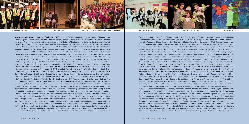Symphonic Chorus • Lost & Found Theatre • MacLaren Art Centre • Magnus Theatre • Mammalian Diving Reflex • Mariposa In the Schools • MASC Artists for Schools and Communities • McIntosh Gallery • Mercer Union, A Centre for Contemporary Art • Mississauga Choral Society • Mixed Company • Modern Times Stage Company • MOTUS O dance theatre • Music TORONTO • Muskoka Chautauqua • National Shevchenko Musical Ensemble Guild of Canada • National Youth Orchestra of Canada • Native Earth • Necessary Angel Theatre Company • New Music Concerts • Niagara Symphony Association • Nightwood Theatre • Nine Sparrows Arts Foundation • Norfolk Arts Centre at Lynnwood National Historic Site • Northern Lights Festival Boréal • Numus Concerts Inc. • Oakville Arts Council • Oakville Galleries • Obsidian Theatre Company • Odyssey Theatre • Ontario Association of Art Galleries • Ontario Handweavers and Spinners • Open Studio • Opera Atelier • Opera Canada • Opera in Concert • Opera.ca • Orchestra London Chatham-Kent Ontario Branch • Orchestra Toronto • Orchestras Canada • Orchestras Mississauga • Orillia Museum of Art and History • Ottawa Art Gallery / Galerie d'art d'Ottawa • Ottawa Arts Council / Conseil des arts d'Ottawa • Ottawa Bluesfest • Ottawa Chamber Music Society • Ottawa International Jazz Festival • Ottawa School of Art • Ottawa Symphony Orchestra • Peggy Baker Dance Projects • Peterborough Artists Inc. "Artspace"• Peterborough Symphony Orchestra • Planet in Focus • Pleiades Theatre • Power Plant Contemporary Art Gallery at Harbourfront Centre • Professional Writers Association of Canada • Prologue to the Performing Arts • Quinte Arts Council • Quinte Ballet School • Quinte Symphony • Red Maple Foundation • Regent Theatre Foundation • Renaissance Singers • Robert McLaughlin Gallery • Rodman Hall Arts Centre • Roseneath Theatre • Royal Canadian Academy of Arts • Royal Conservatory of Music • S.A.W. Gallery • S.A.W. Video • Salamander Theatre for Young Audiences • Scarborough Arts Council • Scarborough Philharmonic Orchestra • School of Dance (Ottawa) Pre-Professional Programme • School of Toronto Dance Theatre • Seaway Valley Singers • Shakespeare In Action • Sinfonia Toronto • Smile Theatre • Solar Stage • Soulpepper Theatre Company • Soundstreams Canada • St. Bernadette's Family Resource Centre • St. Marys Children's Choir • St. Thomas– Elgin Public Art Centre • Station Gallery • Stirling Festival Theatre • Storytelling Toronto • Stratford Summer Music • Sudbury Symphony Orchestra Association • Symphony Hamilton • Tafelmusik Baroque Orchestra • Talisker Players Chamber Music • Tapestry Opera • Tarragon Theatre • Textile Museum of Canada • The Cellar Singers • The Grand Theatre • Théâtre Action • Theatre Collingwood • Theatre Direct Canada • Théâtre français de Toronto • Theatre Gargantua • Theatre Kingston • Théâtre la Catapulte • Theatre Orangeville • Theatre Passe Muraille • Thirteen Strings Chamber Orchestra • Thousand Islands Foundation for the Performing Arts • Thunder Bay Art Gallery • Thunder Bay Symphony • Timmins Symphony Orchestra • Toronto Arts Foundation • Toronto Children's Chorus • Toronto Consort • Toronto Dance Theatre • Toronto International Film Festival • Toronto Mendelssohn Choir • Toronto Operetta Theatre • Toronto School of Art • Toronto Summer Music Foundation • Trinity Square Video • Upper Canada Playhouse • Visual Arts Centre of Clarington • Volcano • Westben Arts Festival Theatre • White Water Gallery • Windsor Symphony Orchestra • WKP Kennedy Gallery • Women's Musical Club of Toronto • Workers Arts and Heritage Centre • Writers' Union of Canada • Young People's Theatre • YYZ Artists' Outlet







Arts Organizations with Endowment Funds at the OAF | 4th Line Theatre Company • A Space • Agnes Etherington Art

TAPESTRY OPERA JUNIOR AMABILE CHOIR & AMABILE TREBLE CONCERT CHOIR ARTS OTTAWA EAST-EST COMPAGNIE VOX THÉÂTRE COMPAGNIE VOX THÉÂTRE OAKVILLE GALLERIES

Centre • Algonquin Arts Council • Amabile Choirs of London, Canada • Amadeus Choir of Greater Toronto • Amici Chamber Ensemble • Arcady • Arraymusic • Art Gallery of Algoma • Art Gallery of Burlington • Art Gallery of Guelph • Art Gallery of Hamilton • Art Gallery of Mississauga • Art Gallery of Northumberland • Art Gallery of Peterborough • Art Gallery of Sudbury / Galerie d'art de Sudbury • Art Gallery of Windsor • Art Gallery of York University • Art of Time Ensemble • Art Starts Neighbourhood Cultural Centre • Artengine • Artheart Community Centre • Arts Council of Sault Ste. Marie and District • Arts Etobicoke • Arts for Children and Youth • Arts Ottawa East-Est • B.A.A.N.N. Theatre Centre • Ballet Creole • Ballet Jörgen Canada • Bluewater Summer Playhouse • Blyth Festival • Brantford Symphony Orchestra Association • Brockville Concert Association • Brott Music Festival • Buddies in Bad Times Theatre • C The Visual Arts Foundation • C.C.M.C. Music Gallery • Canadian Art Foundation • Canadian Bookbinders and Book Artists Guild • Canadian Children's Book Centre • Canadian Children's Opera Company • Canadian Conference of the Arts • Canadian Contemporary Dance Theatre • Canadian Cultural Society of the Deaf • Canadian Film Centre • Canadian Music Centre • Canadian Stage • Cantabile Choirs of Kingston • Capitol Theatre Heritage Foundation • Carousel Players • Centre for Indigenous Theatre • Choirs Ontario • Chorus Niagara • Cinefest Sudbury International Film Festival • CKCU Ottawa Folk Festival • Clay and Paper Theatre • Common Boots Theatre • Compagnie Vox Théâtre • Company Theatre, The • Contact Contempory Music • Continuum Contemporary Music • Corpus Dance Projects • Craft Ontario • Creative Works Studio • Dance Collection Danse • Dancemakers • Dancer Transition Resource Centre • Dancetheatre David Earle • DanceWorks • DAREarts Foundation • DE-BA-JEH-MU-JIG Theatre Group • Definitely Superior Art Gallery of Thunder Bay • Design Exchange • DNA Theatre • Drayton Entertainment • Dufferin Arts Council • Dundas Valley School of Art • Ed Video Media Arts Centre • Elmer Iseler Singers • Elora Festival • Equity Showcase Theatre • Esprit Orchestra • Factory Theatre Lab • Festival of the Sound • Forest City Gallery • Fringe of Toronto Theatre Festival • Fujiwara Dance Inventions • Fusion: The Ontario Clay and Glass Association • Gallery 44 Centre for Contemporary Photography • Gallery Stratford • Gallery TPW • Gardiner Museum • Georgian Bay Symphony • Glenhyrst Art Gallery of Brant • Grand Philharmonic Choir • Guelph Arts Council • Guelph Chamber Choir • Guelph Jazz Festival • Guelph Youth Music Centre • Haliburton Highlands Guild of Fine Arts • Hamilton Artists Inc. • Hamilton Arts Council • Hamilton Philharmonic Orchestra • Hannaford Street Silver Band • Homer Watson House & Gallery • Hot Docs • Huntsville Festival of the Arts • Idea Exchange • Inner City Angels • Inside Out Toronto Lesbian & Gay Film & Video Festival • Kaeja d'Dance • Kingston Artists' Association • Kingston Regional Arts Council • Kingston Symphony Association • Kitchener-Waterloo Art Gallery • Kitchener-Waterloo Chamber Orchestra • Kitchener-Waterloo Symphony Orchestra Association • Koffler Gallery • La Galerie du Nouvel-Ontario, centre d'artistes • Latcham Gallery Association • Le Conseil des Arts de Hearst • Le Théâtre de la Vieille 17 • Le Théâtre du Nouvel-Ontario • Le Théâtre du Trillium • League of Canadian Poets • Les Éditions L'Interligne • Liaison

of Independent Filmmakers of Toronto • Lighthouse Festival Theatre • London Community Orchestra • London Fanshawe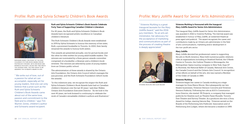### Vivienne Muhling is Honoured with the Inaugural Mary Jolliffe Award for Senior Arts Administrators

The inaugural Mary Jolliffe Award for Senior Arts Administrators was awarded in 2016 to Vivienne Muhling. The triennial award was established in honour of Mary Jolliffe, an esteemed theatrical press agent and publicist. The award recognizes the career and contributions made by an Ontario arts administrator in the field of arts communications, marketing and/or development in the non-profit arts sector.

#### Mary Jolliffe

Mary Jolliffe devoted her professional career to supporting the arts in North America. Mary held numerous public relations roles at organizations including at Stratford Festival, the O'Keefe Centre in Toronto, the Guthrie Theatre in Minneapolis, the Metropolitan Opera touring company in New York, Expo 67 in Montreal, the National Ballet of Canada, National Arts Centre,

the Canada Council and the Ontario Arts Council. In recognition of her efforts on behalf of the arts, she was named a Member of the Order of Canada in 1985. Vivienne Muhling Vivienne began her career in Canada working as a stage manager for Dora Mavor Moore. She subsequently ran two theatre businesses, Vivienne Stenson Concerts and Vivienne Stenson Publicity. Following her role as AGO's Communications Director, she started PR Projects, a company that managed publicity for theatres such as Theatre Passe Muraille, Toronto Free Theatre and Factory Theatre. As a producer she won a Dora Award for Indigo, starring Salome Bay. Vivienne served on the Boards of the Performing Arts Publicists' Association and of Performing Arts Lodges, where she became a resident in 1999.

" Vivienne Muhling is a great inaugural laureate for the Mary Jolliffe Award," said the 2016 jury members. "As an arts administrator, her advocacy for the acceptance of marketing and communications as part of the process of creating theatre is deeply appreciated."

### Profile: Mary Jolliffe Award for Senior Arts Administrators



VIVIENNE MUHLING AND ALAN WALKER

#### Ruth and Sylvia Schwartz Children's Book Awards Celebrate Forty Years of Supporting Canadian Children's Literature

For 40 years, the Ruth and Sylvia Schwartz Children's Book Awards have recognized artistic excellence in Canadian children's literature.

The Ruth Schwartz Children's Book Awards were established in 1976 by Sylvia Schwartz to honour the memory of her sister, Ruth, a prominent bookseller in Toronto. In 2004, their family renamed the awards to honour both sisters.

Two awards are presented annually, one for picture books and the other for titles written for young adult/middle readers. The winners are nominated by a three person awards committee comprised of a bookseller, a librarian and a children's book reviewer. The winners are selected by juries of young readers from an Ontario public school.

The administration of these awards is shared by the Ontario Arts Foundation, the Ontario Arts Council (which manages the jury process), and the Ruth Schwartz Foundation (which funds the awards).

"In this milestone year, we recognize the impact the Ruth and Sylvia Schwartz Children's Book Awards have had on Canadian children's literature over the last 40 years," said Alan Walker, Ontario Arts Foundation Executive Director. "As we look to the next 40 years, we look forward to continuing to celebrate the work of Canada's remarkable children's authors and illustrators."

" We write out of love, out of a passion for what art can accomplish, especially art for young readers. And one can only believe that a prize such as the Ruth and Sylvia Schwartz Children's Book Awards came about out of the same love, passion and commitment to the field and to children," says Tim Wynne-Jones, children's author and Schwartz award recipient.

### Profile: Ruth and Sylvia Schwartz Children's Book Awards



MARIANNE DUBUC, RECIPIENT OF THE 2016 CHILDREN'S PICTURE BOOK AWARD FOR *MR. POSTMOUSE'S ROUNDS*, WITH HER BOOK AND MORDECAI RICHLER'S *JACOB TWO-TWO MEETS THE HOODED FANG*, THE FIRST BOOK TO BE AWARDED THE SCHWARTZ AWARD IN 1976.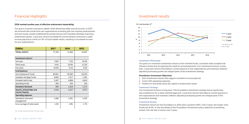#### Investment Philosophy

Our goal is to maximize investment returns of the invested funds, consistent with accepted risk tolerance levels and recognizing the need for annual payments. Our investment horizon is long term. Long term returns that balance current payouts to arts organizations and maintain inflation adjusted purchasing power are integral parts of the investment strategy.

#### Foundation Investment Objectives

- 1. Earn investment returns that support consistent income payouts
- 2. Cover OAF operating expenses
- 3. Preserve in real dollar terms the capital of endowment assets

#### Investment Strategy

Our investment horizon is long term. The Foundation investment strategy has an equity bias, and a preference for a value oriented approach. Long term returns that balance current payouts to arts organizations and maintain inflation adjusted purchasing power are integral parts of the investment strategy.

#### Investment Review

Investment returns for the Foundation in 2016 were a positive 9.82%. Over 5 years, the longer-term results are 10.9%, in line and ahead of the Foundation investment policy objective of achieving at least a 5% real rate of return over 5 years.



### Financial Highlights

#### 2016 marked another year of effective endowment stewardship.

Our goal is to protect and grow capital, while delivering stable annual income. In 2017, we received new funds from arts organizations investing gifts into existing endowments and new funds, awards established by private donors and Canadian Heritage matching endowment grants. Long term returns exceeded 9% and the Board continued to make income payouts at a level of 4.5% of fund market values, resulting in increased income for arts organizations.

| (5000s)                       | 2017   | 2016   | 2015   |
|-------------------------------|--------|--------|--------|
| <b>TOTAL ASSETS</b>           | 77,763 | 71,930 | 74,207 |
|                               |        |        |        |
| Investment returns*           |        |        |        |
| One year                      | 9.8%   | 7.2%   | 10.9%  |
| Three years                   | 9.3%   | 10.9%  | 12.5%  |
| Five years                    | 10.9%  | 9.1%   | 9.5%   |
| <b>Fund balances</b>          |        |        |        |
| <b>Arts Endowment Funds</b>   | 69,991 | 59,360 | 62,019 |
| Canadian Heritage Funds       | 8,049  | 7,317  | 7,181  |
| Privately Held Funds          | 5,497  | 4,808  | 4,654  |
| <b>Operating Funds</b>        | 206    | 416    | 333    |
| <b>Donations Received</b>     | 904    | 1,324  | 1,171  |
| Awards, Scholarships and      | 3,528  | 3,327  | 3,071  |
| <b>Income Payouts</b>         |        |        |        |
| <b>Operating expenses</b>     |        |        |        |
| Operations and asset          | 1,266  | 1,291  | 1,255  |
| management                    |        |        |        |
| As an average of total assets | 1.6%   | 1.8%   | 1.7%   |
|                               |        |        |        |

\* for the year ending December 31st (net of fees)

### Investment results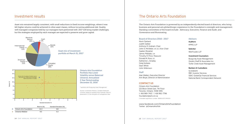### The Ontario Arts Foundation

#### Board of Directors 2016 – 2017

Kevin Garland Judith Gelber Anthony R. Graham, *Chair* John D. McKellar, CM, QC, *Vice-Chair* Gaelen Morphet James Pitblado, CM Timothy R. Price, *Treasurer* Donald M. Ross, OC Katherine L. Smalley Greg Sorbara Sean White John Wilkinson

#### **Staff**

Alan Walker, *Executive Director* Ann Boyd, *Director of Administration*

#### CONTACT US

Ontario Arts Foundation 121 Bloor Street East, 7th Floor Toronto, Ontario M4W 3M5 t. 416 969-7413 f. 416 961-7796 foundation@arts.on.ca Charitable registration number 89085 6370 RR0001

www.facebook.com/OntarioArtsFoundation Twitter: [@OntarioArtsFdn](https://twitter.com/ontarioartsfdn)

#### Advisors

Auditors KPMG LLP

Solicitor WeirFoulds LLP

#### Investment Counselors

Burgundy Asset Management Gluskin Sheff & Associates Inc. Turtle Creek Asset Management

#### Bankers & Custodians

Scotiabank RBC Investor Services SS&C GlobeOp Financial Services National Bank Correspondent Network

The Ontario Arts Foundation is governed by an independently elected board of directors, who bring business and personal arts philanthropic experience to the Foundation's oversight and management. Standing committees of the board include: Advocacy, Executive, Finance and Audit, and Governance and Nominating.

Asset mix remained largely consistent, with small reductions in fixed income weightings, where it was felt higher returns could be achieved in other asset classes, without incurring additional risk. Quality, well managed companies held by our managers have performed well. 2017 will bring market challenges, but the strategies employed by each manager are expected to preserve and grow capital.



### Investment results

Ontario Arts Foundation Portfolio Has Lower Volatility versus Balanced Universe: *Annualized 5 Year Period ending December 31, 2016* 



Return %

\* portfolio with Burgundy Asset Management

Source: e-vestment Alliance, Canadian Balanced Universe, based on quarterly return periods. Returns presented in \$ Cdn and gross of management fees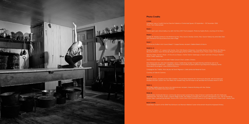

#### Photo Credits

#### **COVER**

Installation view of *Judith Scott* at Oakville Galleries at Centennial Square, 25 September — 30 December 2016. Photo: Toni Hafkenscheid.

#### PAGE 2

Festival goers give virtual reality a try with Hot Docs 2017 DocX program. Photo by Sophia Burke, courtesy of Hot Docs.

#### PAGE<sub>6</sub>

Charles W. Stockey Centre for the Performing Arts, Parry Sound. *Stockey Centre, Parry Sound Harbour* by artist Alan Stein. 2017 Festival of the Sound brochure cover image.

#### PAGE<sub>7</sub>

Sculpture by Dufferin Arts Council Reed T. Cooper Bursary recipient, Debbie Ebanks Schlums.

#### PAGES 8–9

Ottawa Art Gallery. L-R: Lawson A.W. Hunter, Chair OAG Board of Directors, Councillor Mathieu Fleury, Mayor Jim Watson, Alexandra Badzak, Grant McDonald (Regional Managing Partner KPMG), Alexandra Duret. Photo Credit: David Barbour.

Tapestry Opera. *Naomi's Road*. L-R Erica Iris as Obasan, Hiather Darnel-Kadonaga as Naomi and Sam Chung as Stephen. Photo Credit: Dahlia Katz.

Junior Amabile Singers and Amabile Treble Concert Choir. London, Ontario.

Arts Ottawa East-Est. Girls from Dandelion Dance 'Celebrating Canada Through Diversity and Dance' part of 12 of the NeighborhoodArts150 — Celebrating Ottawa Communities projects performing at Bayshore Shopping Centre. More about the program: www.150ArtsOttawa.ca

Compagnie Vox Théâtre. *Mots de jeux* de Sarah Migneron. Crédit photo de Marianne Duval.

Courtesy of Oakville Galleries.

#### PAGE 10

Marianne Dubuc, recipient of the 2016 Children's Picture Book Award for *Mr. Postmouse's Rounds*, with her book and Mordecai Richler's *Jacob Two-Two Meets the Hooded Fang*, the first book to be awarded the Schwartz Award in 1976.

#### PAGE 11

2016 Mary Jolliffe Award for Senior Arts Administrator recipient, Vivienne Muhling with Alan Walker, Ontario Arts Foundation Executive Director.

#### PAGE 16

Lakeshore Arts, The Music Studio, Creative Village Studio, and Village of Islington BIA at historic Montgomery's Inn. Part of Animating Historic Sites: a partnership between Toronto Arts Council and City of Toronto Museums & Heritage Services. Photo Credit: Jeremy Sale.

#### BACK COVER

David Braid, recipient of the 2016 Paul DeHueck and Norman Walford Career Achievement Award for Keyboard Artistry.